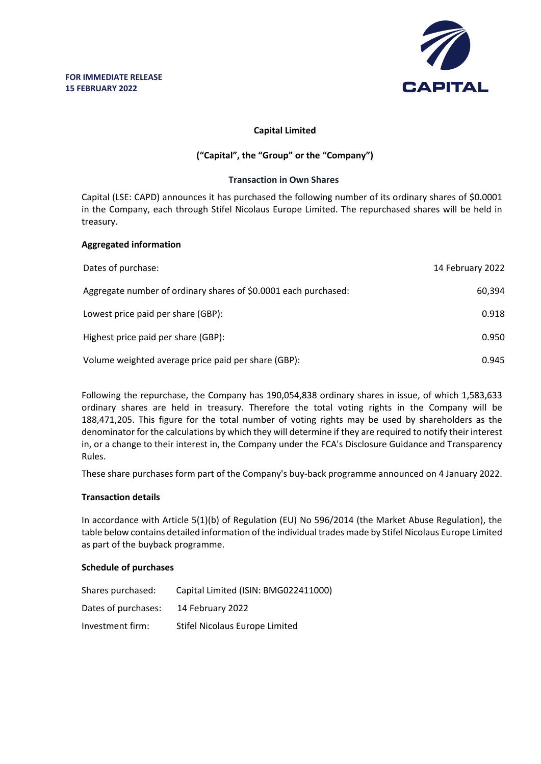

# **Capital Limited**

# **("Capital", the "Group" or the "Company")**

## **Transaction in Own Shares**

Capital (LSE: CAPD) announces it has purchased the following number of its ordinary shares of \$0.0001 in the Company, each through Stifel Nicolaus Europe Limited. The repurchased shares will be held in treasury.

#### **Aggregated information**

| Dates of purchase:                                              | 14 February 2022 |
|-----------------------------------------------------------------|------------------|
| Aggregate number of ordinary shares of \$0.0001 each purchased: | 60,394           |
| Lowest price paid per share (GBP):                              | 0.918            |
| Highest price paid per share (GBP):                             | 0.950            |
| Volume weighted average price paid per share (GBP):             | 0.945            |

Following the repurchase, the Company has 190,054,838 ordinary shares in issue, of which 1,583,633 ordinary shares are held in treasury. Therefore the total voting rights in the Company will be 188,471,205. This figure for the total number of voting rights may be used by shareholders as the denominator for the calculations by which they will determine if they are required to notify their interest in, or a change to their interest in, the Company under the FCA's Disclosure Guidance and Transparency Rules.

These share purchases form part of the Company's buy-back programme announced on 4 January 2022.

# **Transaction details**

In accordance with Article 5(1)(b) of Regulation (EU) No 596/2014 (the Market Abuse Regulation), the table below contains detailed information of the individual trades made by Stifel Nicolaus Europe Limited as part of the buyback programme.

# **Schedule of purchases**

| Shares purchased:   | Capital Limited (ISIN: BMG022411000) |
|---------------------|--------------------------------------|
| Dates of purchases: | 14 February 2022                     |
| Investment firm:    | Stifel Nicolaus Europe Limited       |